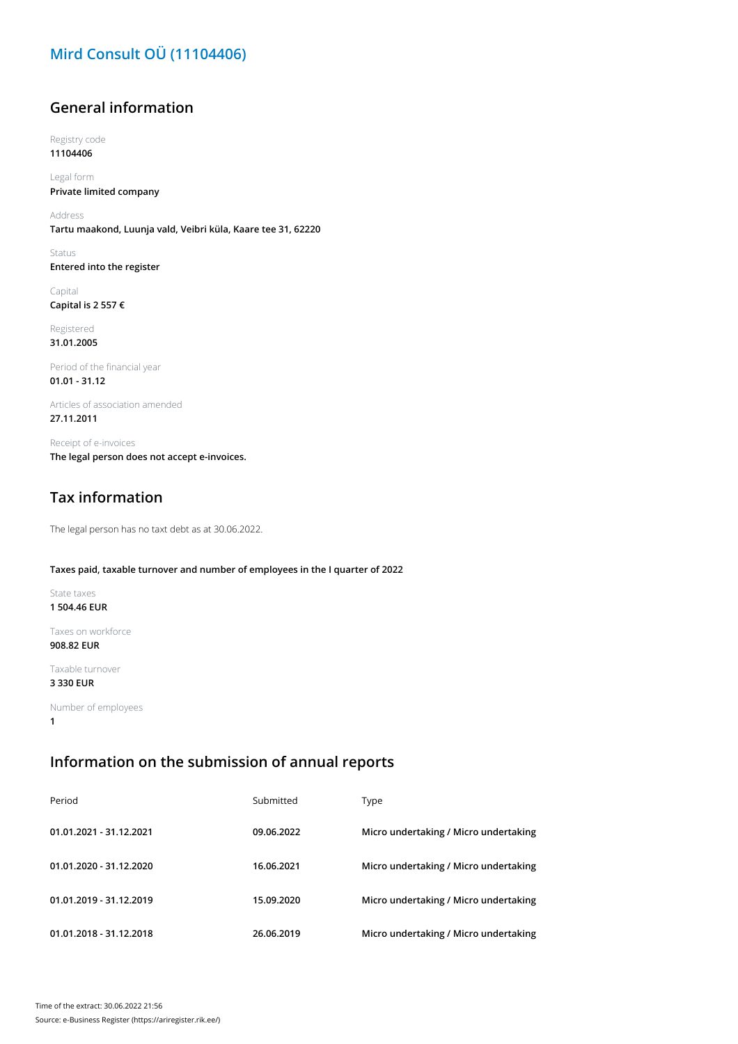# **Mird Consult OÜ (11104406)**

## **General information**

Registry code

**11104406**

Legal form **Private limited company**

Address **Tartu maakond, Luunja vald, Veibri küla, Kaare tee 31, 62220**

Status **Entered into the register**

Capital **Capital is 2 557 €**

Registered **31.01.2005**

Period of the financial year **01.01 - 31.12**

Articles of association amended **27.11.2011**

Receipt of e-invoices **The legal person does not accept e-invoices.**

# **Tax information**

The legal person has no taxt debt as at 30.06.2022.

#### **Taxes paid, taxable turnover and number of employees in the I quarter of 2022**

State taxes **1 504.46 EUR**

Taxes on workforce **908.82 EUR**

Taxable turnover

**3 330 EUR**

Number of employees **1**

### **Information on the submission of annual reports**

| Period                  | Submitted  | Type                                  |
|-------------------------|------------|---------------------------------------|
| 01.01.2021 - 31.12.2021 | 09.06.2022 | Micro undertaking / Micro undertaking |
| 01.01.2020 - 31.12.2020 | 16.06.2021 | Micro undertaking / Micro undertaking |
| 01.01.2019 - 31.12.2019 | 15.09.2020 | Micro undertaking / Micro undertaking |
| 01.01.2018 - 31.12.2018 | 26.06.2019 | Micro undertaking / Micro undertaking |